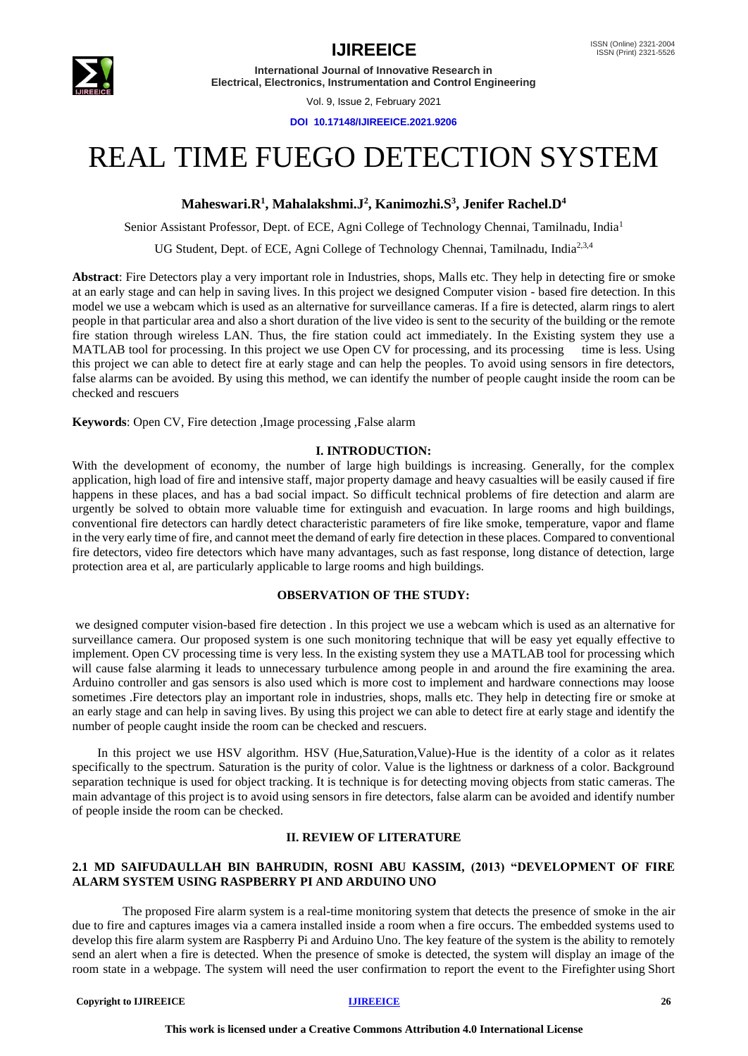

**International Journal of Innovative Research in Electrical, Electronics, Instrumentation and Control Engineering**

Vol. 9, Issue 2, February 2021

**DOI 10.17148/IJIREEICE.2021.9206**

# REAL TIME FUEGO DETECTION SYSTEM

## **Maheswari.R<sup>1</sup> , Mahalakshmi.J<sup>2</sup> , Kanimozhi.S<sup>3</sup> , Jenifer Rachel.D<sup>4</sup>**

Senior Assistant Professor, Dept. of ECE, Agni College of Technology Chennai, Tamilnadu, India<sup>1</sup>

UG Student, Dept. of ECE, Agni College of Technology Chennai, Tamilnadu, India<sup>2,3,4</sup>

**Abstract**: Fire Detectors play a very important role in Industries, shops, Malls etc. They help in detecting fire or smoke at an early stage and can help in saving lives. In this project we designed Computer vision - based fire detection. In this model we use a webcam which is used as an alternative for surveillance cameras. If a fire is detected, alarm rings to alert people in that particular area and also a short duration of the live video is sent to the security of the building or the remote fire station through wireless LAN. Thus, the fire station could act immediately. In the Existing system they use a MATLAB tool for processing. In this project we use Open CV for processing, and its processing time is less. Using this project we can able to detect fire at early stage and can help the peoples. To avoid using sensors in fire detectors, false alarms can be avoided. By using this method, we can identify the number of people caught inside the room can be checked and rescuers

**Keywords**: Open CV, Fire detection ,Image processing ,False alarm

#### **I. INTRODUCTION:**

With the development of economy, the number of large high buildings is increasing. Generally, for the complex application, high load of fire and intensive staff, major property damage and heavy casualties will be easily caused if fire happens in these places, and has a bad social impact. So difficult technical problems of fire detection and alarm are urgently be solved to obtain more valuable time for extinguish and evacuation. In large rooms and high buildings, conventional fire detectors can hardly detect characteristic parameters of fire like smoke, temperature, vapor and flame in the very early time of fire, and cannot meet the demand of early fire detection in these places. Compared to conventional fire detectors, video fire detectors which have many advantages, such as fast response, long distance of detection, large protection area et al, are particularly applicable to large rooms and high buildings.

#### **OBSERVATION OF THE STUDY:**

we designed computer vision-based fire detection . In this project we use a webcam which is used as an alternative for surveillance camera. Our proposed system is one such monitoring technique that will be easy yet equally effective to implement. Open CV processing time is very less. In the existing system they use a MATLAB tool for processing which will cause false alarming it leads to unnecessary turbulence among people in and around the fire examining the area. Arduino controller and gas sensors is also used which is more cost to implement and hardware connections may loose sometimes .Fire detectors play an important role in industries, shops, malls etc. They help in detecting fire or smoke at an early stage and can help in saving lives. By using this project we can able to detect fire at early stage and identify the number of people caught inside the room can be checked and rescuers.

 In this project we use HSV algorithm. HSV (Hue,Saturation,Value)-Hue is the identity of a color as it relates specifically to the spectrum. Saturation is the purity of color. Value is the lightness or darkness of a color. Background separation technique is used for object tracking. It is technique is for detecting moving objects from static cameras. The main advantage of this project is to avoid using sensors in fire detectors, false alarm can be avoided and identify number of people inside the room can be checked.

### **II. REVIEW OF LITERATURE**

### **2.1 MD SAIFUDAULLAH BIN BAHRUDIN, ROSNI ABU KASSIM, (2013) "DEVELOPMENT OF FIRE ALARM SYSTEM USING RASPBERRY PI AND ARDUINO UNO**

 The proposed Fire alarm system is a real-time monitoring system that detects the presence of smoke in the air due to fire and captures images via a camera installed inside a room when a fire occurs. The embedded systems used to develop this fire alarm system are Raspberry Pi and Arduino Uno. The key feature of the system is the ability to remotely send an alert when a fire is detected. When the presence of smoke is detected, the system will display an image of the room state in a webpage. The system will need the user confirmation to report the event to the Firefighter using Short

#### **Copyright to IJIREEICE** 26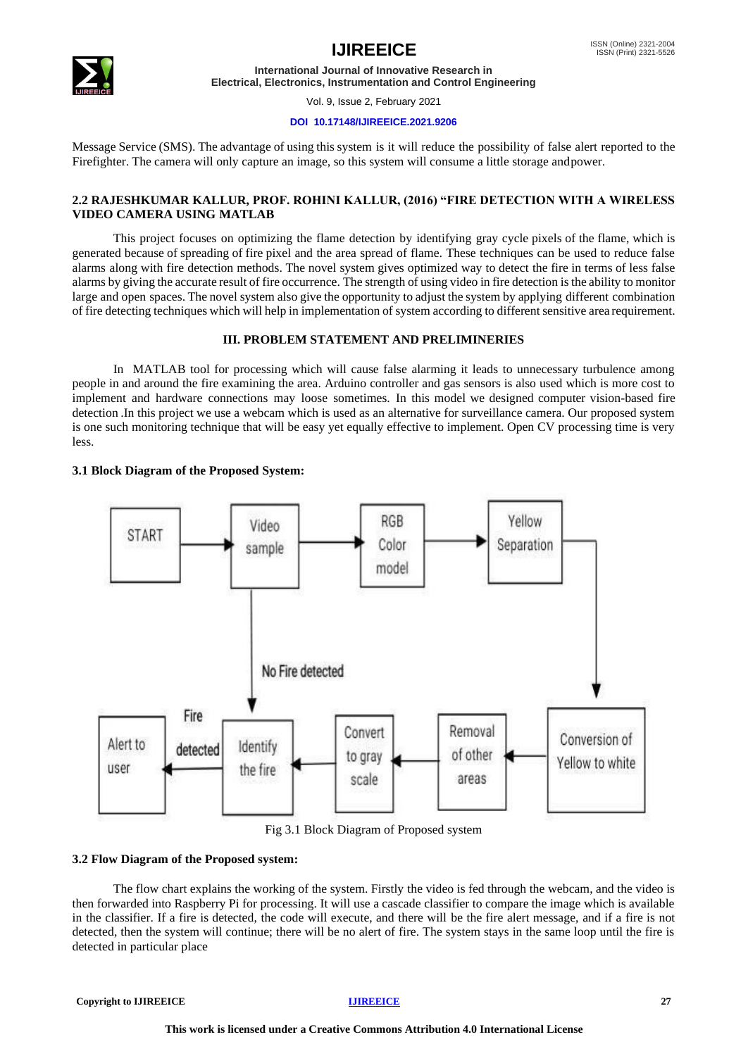

**International Journal of Innovative Research in Electrical, Electronics, Instrumentation and Control Engineering**

Vol. 9, Issue 2, February 2021

#### **DOI 10.17148/IJIREEICE.2021.9206**

Message Service (SMS). The advantage of using this system is it will reduce the possibility of false alert reported to the Firefighter. The camera will only capture an image, so this system will consume a little storage andpower.

### **2.2 RAJESHKUMAR KALLUR, PROF. ROHINI KALLUR, (2016) "FIRE DETECTION WITH A WIRELESS VIDEO CAMERA USING MATLAB**

 This project focuses on optimizing the flame detection by identifying gray cycle pixels of the flame, which is generated because of spreading of fire pixel and the area spread of flame. These techniques can be used to reduce false alarms along with fire detection methods. The novel system gives optimized way to detect the fire in terms of less false alarms by giving the accurate result of fire occurrence. The strength of using video in fire detection isthe ability to monitor large and open spaces. The novel system also give the opportunity to adjust the system by applying different combination of fire detecting techniques which will help in implementation of system according to different sensitive area requirement.

### **III. PROBLEM STATEMENT AND PRELIMINERIES**

 In MATLAB tool for processing which will cause false alarming it leads to unnecessary turbulence among people in and around the fire examining the area. Arduino controller and gas sensors is also used which is more cost to implement and hardware connections may loose sometimes. In this model we designed computer vision-based fire detection .In this project we use a webcam which is used as an alternative for surveillance camera. Our proposed system is one such monitoring technique that will be easy yet equally effective to implement. Open CV processing time is very less.

### **3.1 Block Diagram of the Proposed System:**



Fig 3.1 Block Diagram of Proposed system

### **3.2 Flow Diagram of the Proposed system:**

The flow chart explains the working of the system. Firstly the video is fed through the webcam, and the video is then forwarded into Raspberry Pi for processing. It will use a cascade classifier to compare the image which is available in the classifier. If a fire is detected, the code will execute, and there will be the fire alert message, and if a fire is not detected, then the system will continue; there will be no alert of fire. The system stays in the same loop until the fire is detected in particular place

**Copyright to IJIREEICE** 27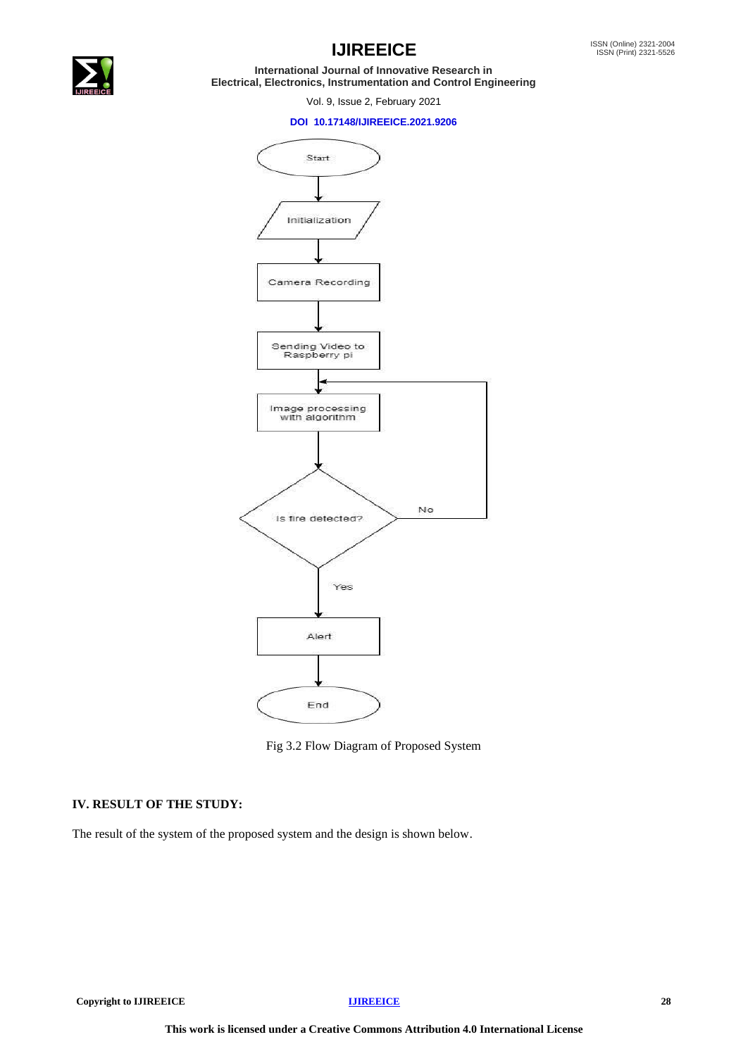

# **IJIREEICE ISSN** (Online) 2321-2004

**International Journal of Innovative Research in Electrical, Electronics, Instrumentation and Control Engineering**

Vol. 9, Issue 2, February 2021

#### **DOI 10.17148/IJIREEICE.2021.9206**



Fig 3.2 Flow Diagram of Proposed System

### **IV. RESULT OF THE STUDY:**

The result of the system of the proposed system and the design is shown below.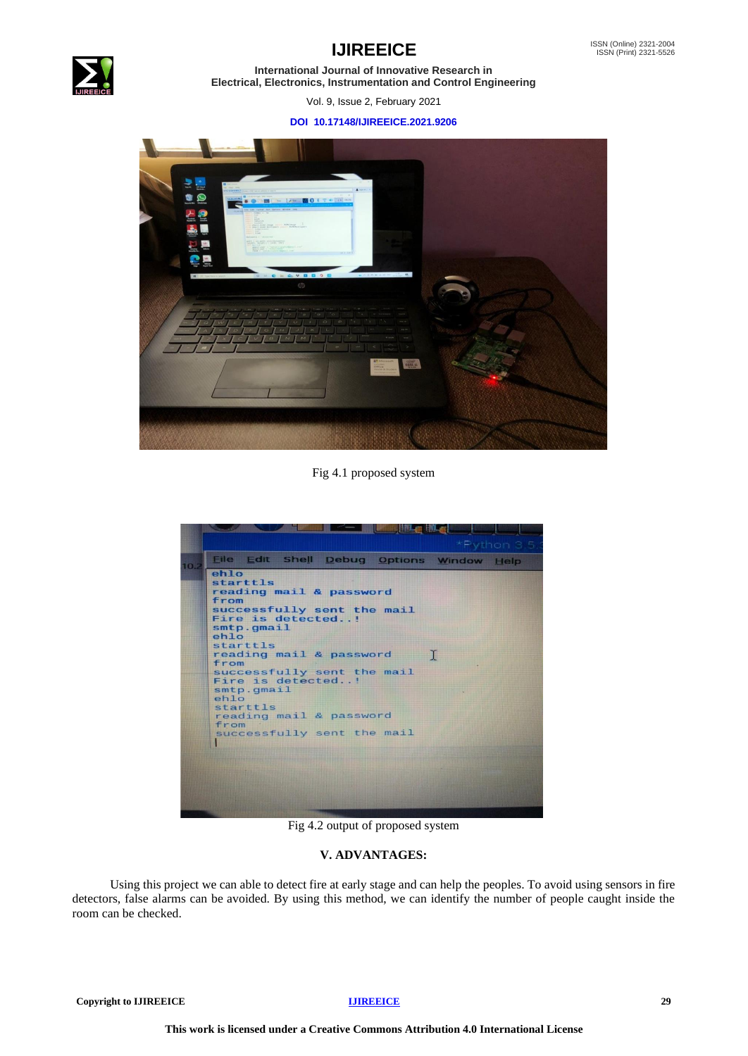



**International Journal of Innovative Research in Electrical, Electronics, Instrumentation and Control Engineering**

Vol. 9, Issue 2, February 2021

### **DOI 10.17148/IJIREEICE.2021.9206**



Fig 4.1 proposed system

| ehlo<br>starttls<br>reading mail & password<br>from<br>successfully sent the mail<br>Fire is detected!<br>smtp.gmail<br>$eh$ lo<br>starttls<br>reading mail & password<br>T<br>from<br>successfully sent the mail<br>Fire is detected!<br>smtp. qmail<br>$eh$ lo<br>starttls<br>reading mail & password<br>from<br>successfully sent the mail |  |  |
|-----------------------------------------------------------------------------------------------------------------------------------------------------------------------------------------------------------------------------------------------------------------------------------------------------------------------------------------------|--|--|
|                                                                                                                                                                                                                                                                                                                                               |  |  |
|                                                                                                                                                                                                                                                                                                                                               |  |  |
|                                                                                                                                                                                                                                                                                                                                               |  |  |
|                                                                                                                                                                                                                                                                                                                                               |  |  |

Fig 4.2 output of proposed system

### **V. ADVANTAGES:**

 Using this project we can able to detect fire at early stage and can help the peoples. To avoid using sensors in fire detectors, false alarms can be avoided. By using this method, we can identify the number of people caught inside the room can be checked.

**Copyright to IJIREEICE [IJIREEICE](https://ijireeice.com/) 29**